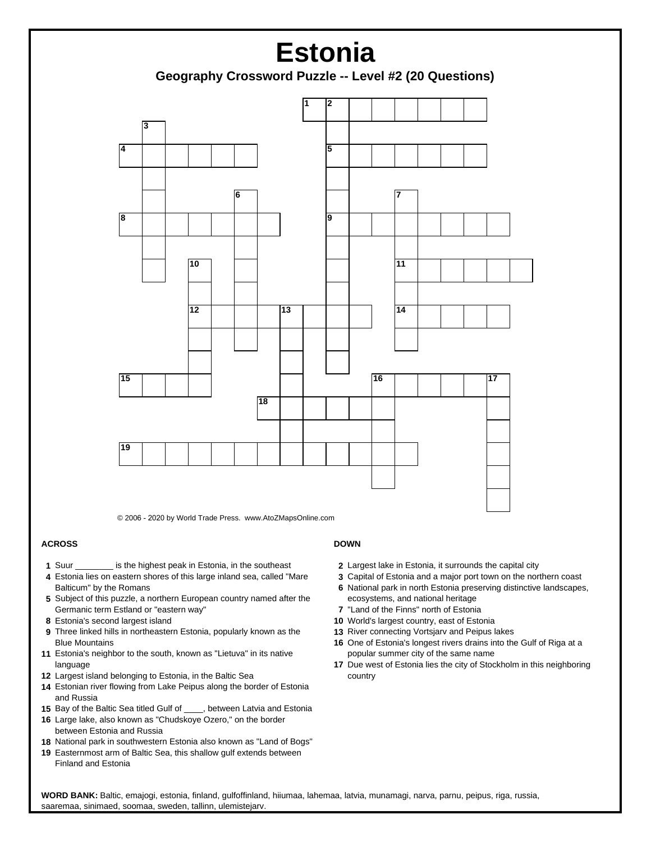

© 2006 - 2020 by World Trade Press. www.AtoZMapsOnline.com

## **ACROSS**

- **1** Suur \_\_\_\_\_\_\_\_ is the highest peak in Estonia, in the southeast
- **4** Estonia lies on eastern shores of this large inland sea, called "Mare Balticum" by the Romans
- **5** Subject of this puzzle, a northern European country named after the Germanic term Estland or "eastern way"
- **8** Estonia's second largest island
- **9** Three linked hills in northeastern Estonia, popularly known as the Blue Mountains
- **11** Estonia's neighbor to the south, known as "Lietuva" in its native language
- **12** Largest island belonging to Estonia, in the Baltic Sea
- **14** Estonian river flowing from Lake Peipus along the border of Estonia and Russia
- **15** Bay of the Baltic Sea titled Gulf of \_\_\_\_, between Latvia and Estonia
- **16** Large lake, also known as "Chudskoye Ozero," on the border between Estonia and Russia
- **18** National park in southwestern Estonia also known as "Land of Bogs"
- **19** Easternmost arm of Baltic Sea, this shallow gulf extends between Finland and Estonia

## **DOWN**

- **2** Largest lake in Estonia, it surrounds the capital city
- **3** Capital of Estonia and a major port town on the northern coast
- **6** National park in north Estonia preserving distinctive landscapes, ecosystems, and national heritage
- **7** "Land of the Finns" north of Estonia
- **10** World's largest country, east of Estonia
- **13** River connecting Vortsjarv and Peipus lakes
- **16** One of Estonia's longest rivers drains into the Gulf of Riga at a popular summer city of the same name
- **17** Due west of Estonia lies the city of Stockholm in this neighboring country

 **WORD BANK:** Baltic, emajogi, estonia, finland, gulfoffinland, hiiumaa, lahemaa, latvia, munamagi, narva, parnu, peipus, riga, russia, saaremaa, sinimaed, soomaa, sweden, tallinn, ulemistejarv.